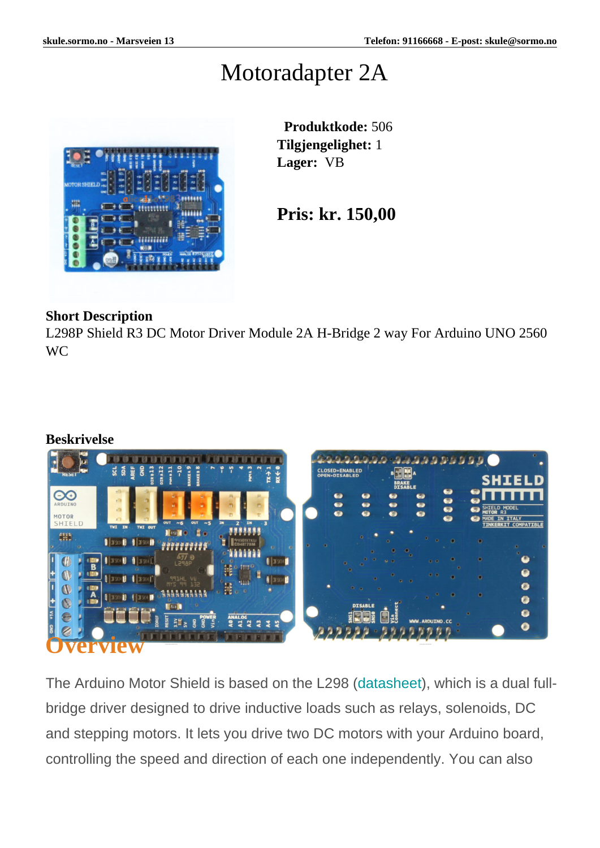### Motoradapter 2A



 **Produktkode:** 506 **Tilgjengelighet:** 1 **Lager:** VB

**Pris: kr. 150,00**

#### **Short Description**

L298P Shield R3 DC Motor Driver Module 2A H-Bridge 2 way For Arduino UNO 2560 WC

#### **Beskrivelse**



The Arduino Motor Shield is based on the L298 [\(datasheet](http://www.st.com/web/en/catalog/sense_power/FM142/CL851/SC1790/SS1555/PF63147)), which is a dual fullbridge driver designed to drive inductive loads such as relays, solenoids, DC and stepping motors. It lets you drive two DC motors with your Arduino board, controlling the speed and direction of each one independently. You can also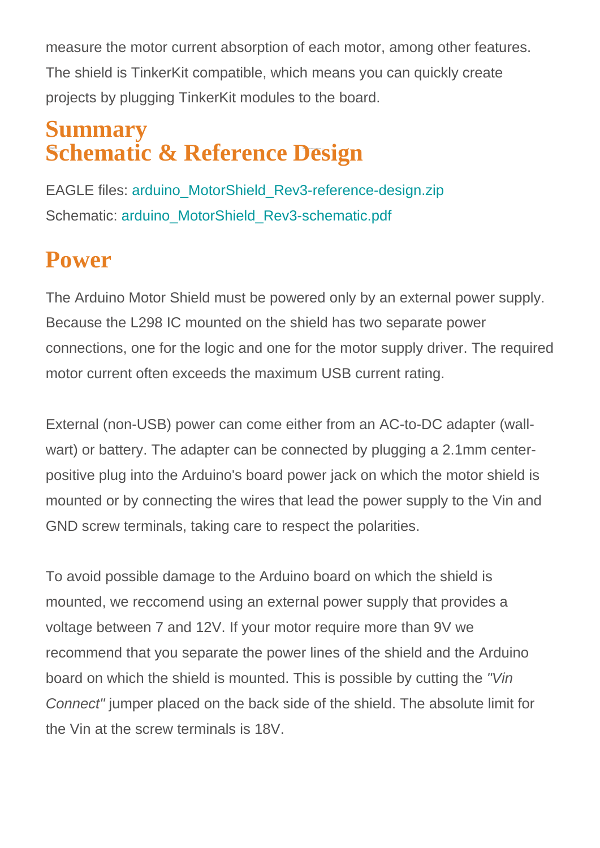measure the motor current absorption of each motor, among other features. The shield is TinkerKit compatible, which means you can quickly create projects by plugging TinkerKit modules to the board.

#### **Summary**  $\mathbb{F}_{\alpha}$ ler controller  $V_{-}$  Drives 200 and  $\mathbb{F}_{\alpha}$ **Schematic & Reference Design**

EAGLE files: [arduino\\_MotorShield\\_Rev3-reference-design.zip](https://www.arduino.cc/en/uploads/Main/arduino_MotorShield_Rev3.zip) Schematic: arduino MotorShield Rev3-schematic.pdf

## **Power**

The Arduino Motor Shield must be powered only by an external power supply. Because the L298 IC mounted on the shield has two separate power connections, one for the logic and one for the motor supply driver. The required motor current often exceeds the maximum USB current rating.

External (non-USB) power can come either from an AC-to-DC adapter (wallwart) or battery. The adapter can be connected by plugging a 2.1mm centerpositive plug into the Arduino's board power jack on which the motor shield is mounted or by connecting the wires that lead the power supply to the Vin and GND screw terminals, taking care to respect the polarities.

To avoid possible damage to the Arduino board on which the shield is mounted, we reccomend using an external power supply that provides a voltage between 7 and 12V. If your motor require more than 9V we recommend that you separate the power lines of the shield and the Arduino board on which the shield is mounted. This is possible by cutting the "Vin Connect" jumper placed on the back side of the shield. The absolute limit for the Vin at the screw terminals is 18V.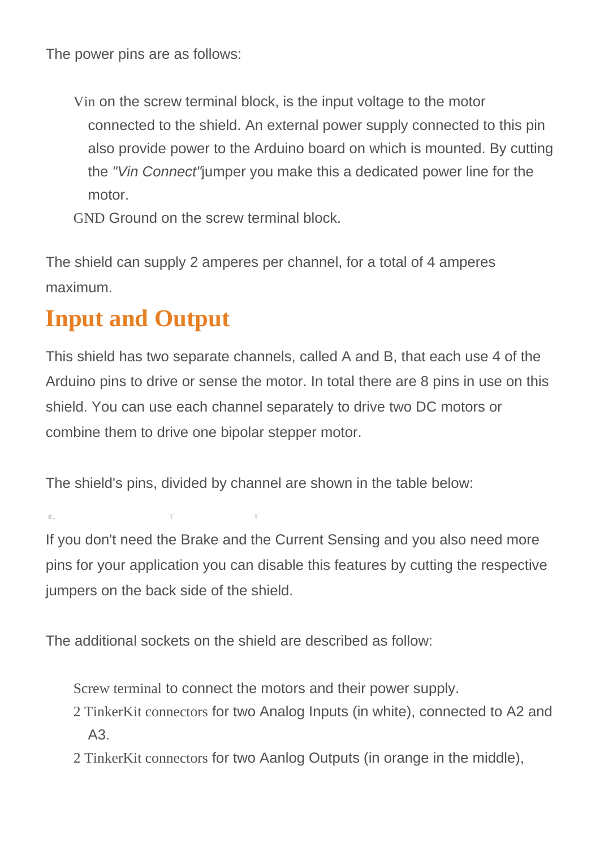The power pins are as follows:

Vin on the screw terminal block, is the input voltage to the motor connected to the shield. An external power supply connected to this pin also provide power to the Arduino board on which is mounted. By cutting the "Vin Connect"jumper you make this a dedicated power line for the motor.

GND Ground on the screw terminal block.

The shield can supply 2 amperes per channel, for a total of 4 amperes maximum.

# **Input and Output**

This shield has two separate channels, called A and B, that each use 4 of the Arduino pins to drive or sense the motor. In total there are 8 pins in use on this shield. You can use each channel separately to drive two DC motors or combine them to drive one bipolar stepper motor.

The shield's pins, divided by channel are shown in the table below:

Function production production production production production production production production production production production production production production production production production production production prod direction direction direction direction direction direction direction direction direction direction direction d PWM D3 D11 Brake D9 D8 Current Sensing Andreas Andreas Andreas Andreas Andreas Andreas Andreas Andreas Andreas Andreas Andreas Andreas

If you don't need the Brake and the Current Sensing and you also need more pins for your application you can disable this features by cutting the respective jumpers on the back side of the shield.

The additional sockets on the shield are described as follow:

Screw terminal to connect the motors and their power supply.

- 2 TinkerKit connectors for two Analog Inputs (in white), connected to A2 and A3.
- 2 TinkerKit connectors for two Aanlog Outputs (in orange in the middle),